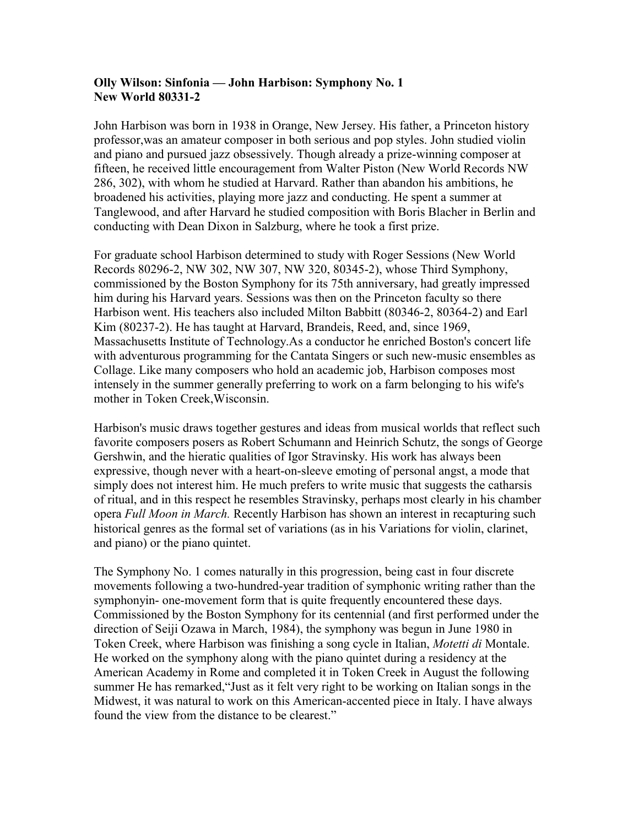## **Olly Wilson: Sinfonia — John Harbison: Symphony No. 1 New World 80331-2**

John Harbison was born in 1938 in Orange, New Jersey. His father, a Princeton history professor,was an amateur composer in both serious and pop styles. John studied violin and piano and pursued jazz obsessively. Though already a prize-winning composer at fifteen, he received little encouragement from Walter Piston (New World Records NW 286, 302), with whom he studied at Harvard. Rather than abandon his ambitions, he broadened his activities, playing more jazz and conducting. He spent a summer at Tanglewood, and after Harvard he studied composition with Boris Blacher in Berlin and conducting with Dean Dixon in Salzburg, where he took a first prize.

For graduate school Harbison determined to study with Roger Sessions (New World Records 80296-2, NW 302, NW 307, NW 320, 80345-2), whose Third Symphony, commissioned by the Boston Symphony for its 75th anniversary, had greatly impressed him during his Harvard years. Sessions was then on the Princeton faculty so there Harbison went. His teachers also included Milton Babbitt (80346-2, 80364-2) and Earl Kim (80237-2). He has taught at Harvard, Brandeis, Reed, and, since 1969, Massachusetts Institute of Technology.As a conductor he enriched Boston's concert life with adventurous programming for the Cantata Singers or such new-music ensembles as Collage. Like many composers who hold an academic job, Harbison composes most intensely in the summer generally preferring to work on a farm belonging to his wife's mother in Token Creek,Wisconsin.

Harbison's music draws together gestures and ideas from musical worlds that reflect such favorite composers posers as Robert Schumann and Heinrich Schutz, the songs of George Gershwin, and the hieratic qualities of Igor Stravinsky. His work has always been expressive, though never with a heart-on-sleeve emoting of personal angst, a mode that simply does not interest him. He much prefers to write music that suggests the catharsis of ritual, and in this respect he resembles Stravinsky, perhaps most clearly in his chamber opera *Full Moon in March.* Recently Harbison has shown an interest in recapturing such historical genres as the formal set of variations (as in his Variations for violin, clarinet, and piano) or the piano quintet.

The Symphony No. 1 comes naturally in this progression, being cast in four discrete movements following a two-hundred-year tradition of symphonic writing rather than the symphonyin- one-movement form that is quite frequently encountered these days. Commissioned by the Boston Symphony for its centennial (and first performed under the direction of Seiji Ozawa in March, 1984), the symphony was begun in June 1980 in Token Creek, where Harbison was finishing a song cycle in Italian, *Motetti di* Montale. He worked on the symphony along with the piano quintet during a residency at the American Academy in Rome and completed it in Token Creek in August the following summer He has remarked,"Just as it felt very right to be working on Italian songs in the Midwest, it was natural to work on this American-accented piece in Italy. I have always found the view from the distance to be clearest."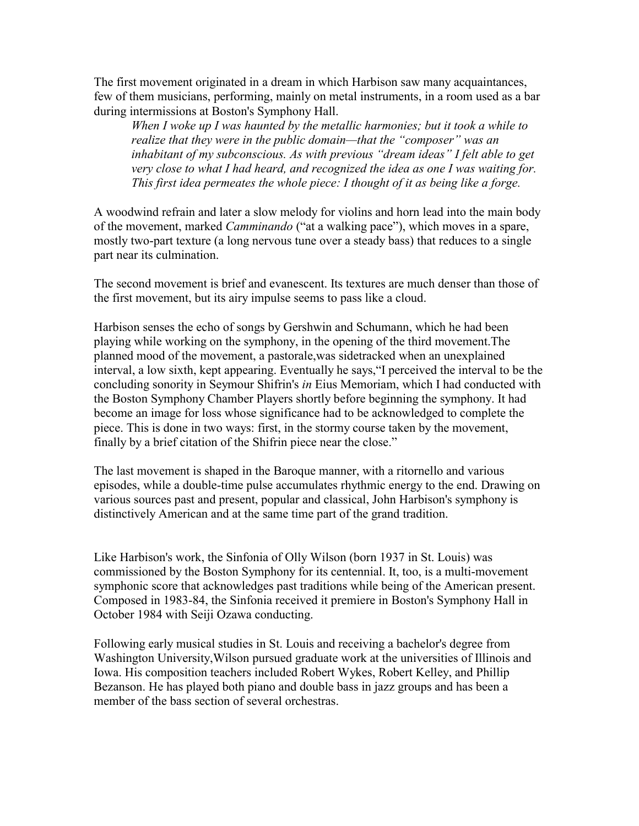The first movement originated in a dream in which Harbison saw many acquaintances, few of them musicians, performing, mainly on metal instruments, in a room used as a bar during intermissions at Boston's Symphony Hall.

*When I woke up I was haunted by the metallic harmonies; but it took a while to realize that they were in the public domain—that the "composer" was an inhabitant of my subconscious. As with previous "dream ideas" I felt able to get very close to what I had heard, and recognized the idea as one I was waiting for. This first idea permeates the whole piece: I thought of it as being like a forge.* 

A woodwind refrain and later a slow melody for violins and horn lead into the main body of the movement, marked *Camminando* ("at a walking pace"), which moves in a spare, mostly two-part texture (a long nervous tune over a steady bass) that reduces to a single part near its culmination.

The second movement is brief and evanescent. Its textures are much denser than those of the first movement, but its airy impulse seems to pass like a cloud.

Harbison senses the echo of songs by Gershwin and Schumann, which he had been playing while working on the symphony, in the opening of the third movement.The planned mood of the movement, a pastorale,was sidetracked when an unexplained interval, a low sixth, kept appearing. Eventually he says,"I perceived the interval to be the concluding sonority in Seymour Shifrin's *in* Eius Memoriam, which I had conducted with the Boston Symphony Chamber Players shortly before beginning the symphony. It had become an image for loss whose significance had to be acknowledged to complete the piece. This is done in two ways: first, in the stormy course taken by the movement, finally by a brief citation of the Shifrin piece near the close."

The last movement is shaped in the Baroque manner, with a ritornello and various episodes, while a double-time pulse accumulates rhythmic energy to the end. Drawing on various sources past and present, popular and classical, John Harbison's symphony is distinctively American and at the same time part of the grand tradition.

Like Harbison's work, the Sinfonia of Olly Wilson (born 1937 in St. Louis) was commissioned by the Boston Symphony for its centennial. It, too, is a multi-movement symphonic score that acknowledges past traditions while being of the American present. Composed in 1983-84, the Sinfonia received it premiere in Boston's Symphony Hall in October 1984 with Seiji Ozawa conducting.

Following early musical studies in St. Louis and receiving a bachelor's degree from Washington University,Wilson pursued graduate work at the universities of Illinois and Iowa. His composition teachers included Robert Wykes, Robert Kelley, and Phillip Bezanson. He has played both piano and double bass in jazz groups and has been a member of the bass section of several orchestras.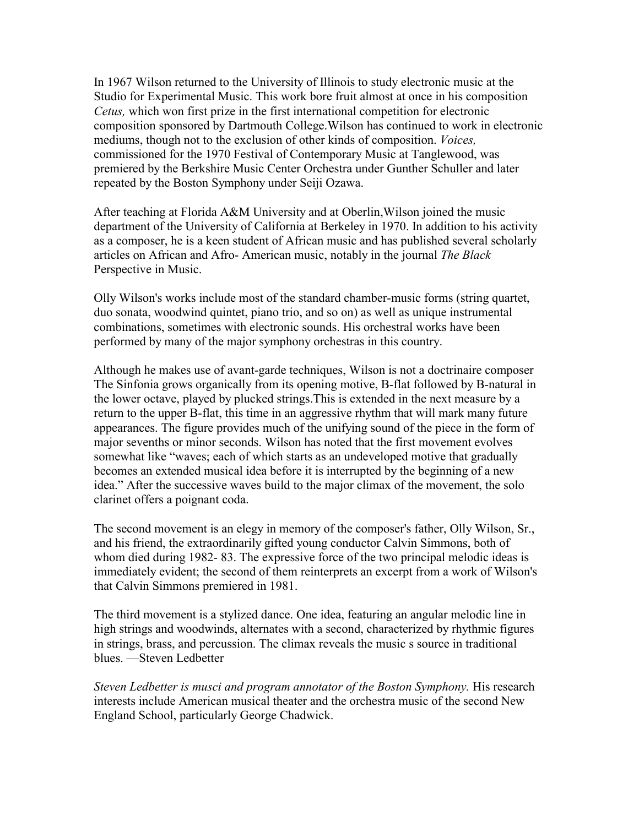In 1967 Wilson returned to the University of Illinois to study electronic music at the Studio for Experimental Music. This work bore fruit almost at once in his composition *Cetus,* which won first prize in the first international competition for electronic composition sponsored by Dartmouth College.Wilson has continued to work in electronic mediums, though not to the exclusion of other kinds of composition. *Voices,* commissioned for the 1970 Festival of Contemporary Music at Tanglewood, was premiered by the Berkshire Music Center Orchestra under Gunther Schuller and later repeated by the Boston Symphony under Seiji Ozawa.

After teaching at Florida A&M University and at Oberlin,Wilson joined the music department of the University of California at Berkeley in 1970. In addition to his activity as a composer, he is a keen student of African music and has published several scholarly articles on African and Afro- American music, notably in the journal *The Black* Perspective in Music.

Olly Wilson's works include most of the standard chamber-music forms (string quartet, duo sonata, woodwind quintet, piano trio, and so on) as well as unique instrumental combinations, sometimes with electronic sounds. His orchestral works have been performed by many of the major symphony orchestras in this country.

Although he makes use of avant-garde techniques, Wilson is not a doctrinaire composer The Sinfonia grows organically from its opening motive, B-flat followed by B-natural in the lower octave, played by plucked strings.This is extended in the next measure by a return to the upper B-flat, this time in an aggressive rhythm that will mark many future appearances. The figure provides much of the unifying sound of the piece in the form of major sevenths or minor seconds. Wilson has noted that the first movement evolves somewhat like "waves; each of which starts as an undeveloped motive that gradually becomes an extended musical idea before it is interrupted by the beginning of a new idea." After the successive waves build to the major climax of the movement, the solo clarinet offers a poignant coda.

The second movement is an elegy in memory of the composer's father, Olly Wilson, Sr., and his friend, the extraordinarily gifted young conductor Calvin Simmons, both of whom died during 1982- 83. The expressive force of the two principal melodic ideas is immediately evident; the second of them reinterprets an excerpt from a work of Wilson's that Calvin Simmons premiered in 1981.

The third movement is a stylized dance. One idea, featuring an angular melodic line in high strings and woodwinds, alternates with a second, characterized by rhythmic figures in strings, brass, and percussion. The climax reveals the music s source in traditional blues. —Steven Ledbetter

*Steven Ledbetter is musci and program annotator of the Boston Symphony.* His research interests include American musical theater and the orchestra music of the second New England School, particularly George Chadwick.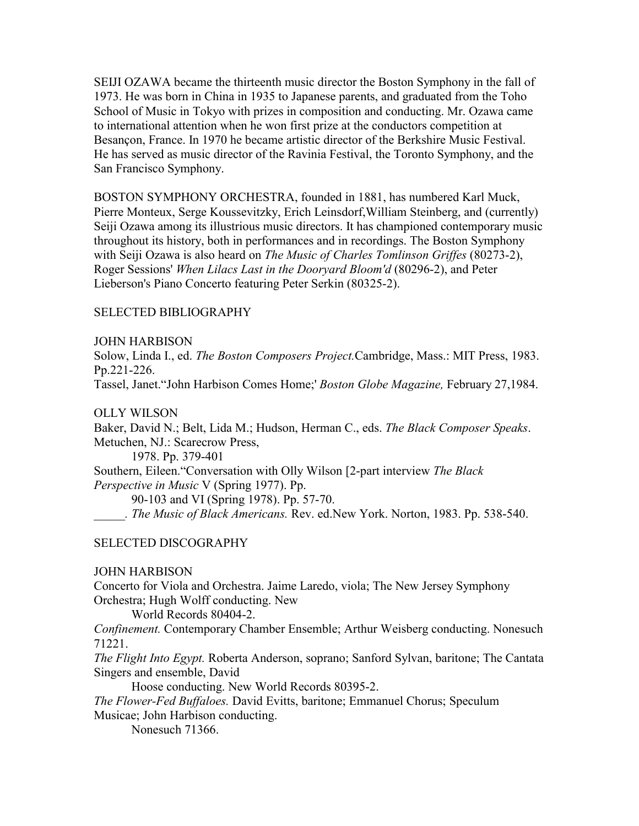SEIJI OZAWA became the thirteenth music director the Boston Symphony in the fall of 1973. He was born in China in 1935 to Japanese parents, and graduated from the Toho School of Music in Tokyo with prizes in composition and conducting. Mr. Ozawa came to international attention when he won first prize at the conductors competition at Besançon, France. In 1970 he became artistic director of the Berkshire Music Festival. He has served as music director of the Ravinia Festival, the Toronto Symphony, and the San Francisco Symphony.

BOSTON SYMPHONY ORCHESTRA, founded in 1881, has numbered Karl Muck, Pierre Monteux, Serge Koussevitzky, Erich Leinsdorf,William Steinberg, and (currently) Seiji Ozawa among its illustrious music directors. It has championed contemporary music throughout its history, both in performances and in recordings. The Boston Symphony with Seiji Ozawa is also heard on *The Music of Charles Tomlinson Griffes* (80273-2), Roger Sessions' *When Lilacs Last in the Dooryard Bloom'd* (80296-2), and Peter Lieberson's Piano Concerto featuring Peter Serkin (80325-2).

### SELECTED BIBLIOGRAPHY

#### JOHN HARBISON

Solow, Linda I., ed. *The Boston Composers Project.*Cambridge, Mass.: MIT Press, 1983. Pp.221-226.

Tassel, Janet."John Harbison Comes Home;' *Boston Globe Magazine,* February 27,1984.

#### OLLY WILSON

Baker, David N.; Belt, Lida M.; Hudson, Herman C., eds. *The Black Composer Speaks*. Metuchen, NJ.: Scarecrow Press,

1978. Pp. 379-401 Southern, Eileen."Conversation with Olly Wilson [2-part interview *The Black Perspective in Music* V (Spring 1977). Pp.

90-103 and VI (Spring 1978). Pp. 57-70.

*\_\_\_\_\_. The Music of Black Americans.* Rev. ed.New York. Norton, 1983. Pp. 538-540.

#### SELECTED DISCOGRAPHY

#### JOHN HARBISON

Concerto for Viola and Orchestra. Jaime Laredo, viola; The New Jersey Symphony Orchestra; Hugh Wolff conducting. New

World Records 80404-2.

*Confinement.* Contemporary Chamber Ensemble; Arthur Weisberg conducting. Nonesuch 71221.

*The Flight Into Egypt.* Roberta Anderson, soprano; Sanford Sylvan, baritone; The Cantata Singers and ensemble, David

Hoose conducting. New World Records 80395-2.

*The Flower-Fed Buffaloes.* David Evitts, baritone; Emmanuel Chorus; Speculum Musicae; John Harbison conducting.

Nonesuch 71366.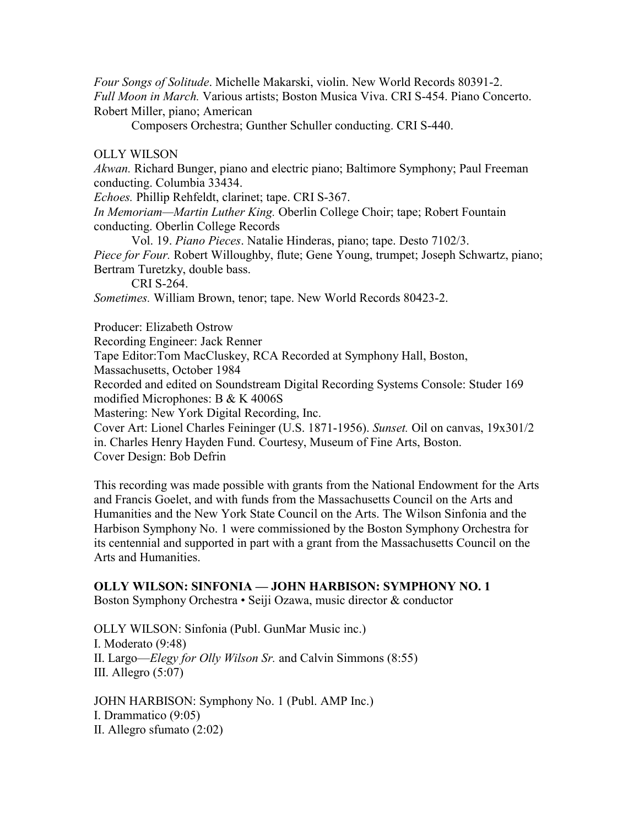*Four Songs of Solitude*. Michelle Makarski, violin. New World Records 80391-2. *Full Moon in March.* Various artists; Boston Musica Viva. CRI S-454. Piano Concerto. Robert Miller, piano; American

Composers Orchestra; Gunther Schuller conducting. CRI S-440.

OLLY WILSON

*Akwan.* Richard Bunger, piano and electric piano; Baltimore Symphony; Paul Freeman conducting. Columbia 33434.

*Echoes.* Phillip Rehfeldt, clarinet; tape. CRI S-367.

*In Memoriam—Martin Luther King.* Oberlin College Choir; tape; Robert Fountain conducting. Oberlin College Records

Vol. 19. *Piano Pieces*. Natalie Hinderas, piano; tape. Desto 7102/3. *Piece for Four.* Robert Willoughby, flute; Gene Young, trumpet; Joseph Schwartz, piano; Bertram Turetzky, double bass.

CRI S-264.

*Sometimes.* William Brown, tenor; tape. New World Records 80423-2.

Producer: Elizabeth Ostrow

Recording Engineer: Jack Renner

Tape Editor:Tom MacCluskey, RCA Recorded at Symphony Hall, Boston,

Massachusetts, October 1984

Recorded and edited on Soundstream Digital Recording Systems Console: Studer 169 modified Microphones: B & K 4006S

Mastering: New York Digital Recording, Inc.

Cover Art: Lionel Charles Feininger (U.S. 1871-1956). *Sunset.* Oil on canvas, 19x301/2 in. Charles Henry Hayden Fund. Courtesy, Museum of Fine Arts, Boston. Cover Design: Bob Defrin

This recording was made possible with grants from the National Endowment for the Arts and Francis Goelet, and with funds from the Massachusetts Council on the Arts and Humanities and the New York State Council on the Arts. The Wilson Sinfonia and the Harbison Symphony No. 1 were commissioned by the Boston Symphony Orchestra for its centennial and supported in part with a grant from the Massachusetts Council on the Arts and Humanities.

# **OLLY WILSON: SINFONIA — JOHN HARBISON: SYMPHONY NO. 1**

Boston Symphony Orchestra • Seiji Ozawa, music director & conductor

OLLY WILSON: Sinfonia (Publ. GunMar Music inc.) I. Moderato (9:48) II. Largo—*Elegy for Olly Wilson Sr.* and Calvin Simmons (8:55) III. Allegro (5:07)

JOHN HARBISON: Symphony No. 1 (Publ. AMP Inc.) I. Drammatico (9:05) II. Allegro sfumato (2:02)